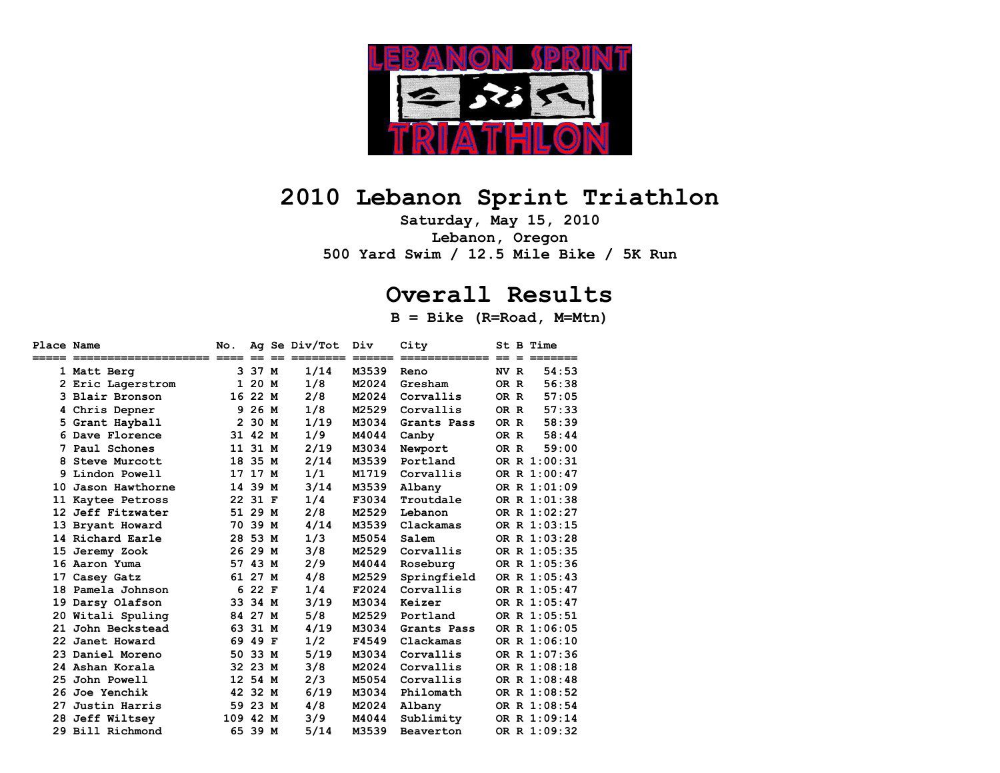

#### **2010 Lebanon Sprint Triathlon**

**Saturday, May 15, 2010 Lebanon, Oregon 500 Yard Swim / 12.5 Mile Bike / 5K Run** 

#### **Overall Results**

**B = Bike (R=Road, M=Mtn)** 

| Place Name |                   | No.          |         | Ag Se Div/Tot | Div   | City        |      | St B Time    |
|------------|-------------------|--------------|---------|---------------|-------|-------------|------|--------------|
|            | 1 Matt Berg       |              | 3 37 M  | 1/14          | M3539 | Reno        | NV R | 54:53        |
|            | 2 Eric Lagerstrom | $\mathbf{1}$ | 20 M    | 1/8           | M2024 | Gresham     | OR R | 56:38        |
|            | 3 Blair Bronson   |              | 16 22 M | 2/8           | M2024 | Corvallis   | OR R | 57:05        |
| 4          | Chris Depner      |              | 9 26 M  | 1/8           | M2529 | Corvallis   | OR R | 57:33        |
|            | 5 Grant Hayball   |              | 2 30 M  | 1/19          | M3034 | Grants Pass | OR R | 58:39        |
|            | Dave Florence     |              | 31 42 M | 1/9           | M4044 | Canby       | OR R | 58:44        |
| 7          | Paul Schones      |              | 11 31 M | 2/19          | M3034 | Newport     | OR R | 59:00        |
| 8          | Steve Murcott     |              | 18 35 M | 2/14          | M3539 | Portland    |      | OR R 1:00:31 |
|            | 9 Lindon Powell   |              | 17 17 M | 1/1           | M1719 | Corvallis   |      | OR R 1:00:47 |
| 10         | Jason Hawthorne   |              | 14 39 M | 3/14          | M3539 | Albany      |      | OR R 1:01:09 |
|            | 11 Kaytee Petross |              | 22 31 F | 1/4           | F3034 | Troutdale   |      | OR R 1:01:38 |
|            | 12 Jeff Fitzwater |              | 51 29 M | 2/8           | M2529 | Lebanon     |      | OR R 1:02:27 |
|            | 13 Bryant Howard  |              | 70 39 M | 4/14          | M3539 | Clackamas   |      | OR R 1:03:15 |
|            | 14 Richard Earle  |              | 28 53 M | 1/3           | M5054 | Salem       |      | OR R 1:03:28 |
|            | 15 Jeremy Zook    |              | 26 29 M | 3/8           | M2529 | Corvallis   |      | OR R 1:05:35 |
|            | 16 Aaron Yuma     |              | 57 43 M | 2/9           | M4044 | Roseburg    |      | OR R 1:05:36 |
| 17         | Casey Gatz        |              | 61 27 M | 4/8           | M2529 | Springfield |      | OR R 1:05:43 |
|            | 18 Pamela Johnson |              | 6 22 F  | 1/4           | F2024 | Corvallis   |      | OR R 1:05:47 |
|            | 19 Darsy Olafson  |              | 33 34 M | 3/19          | M3034 | Keizer      |      | OR R 1:05:47 |
|            | 20 Witali Spuling |              | 84 27 M | 5/8           | M2529 | Portland    |      | OR R 1:05:51 |
| 21         | John Beckstead    |              | 63 31 M | 4/19          | M3034 | Grants Pass |      | OR R 1:06:05 |
| 22         | Janet Howard      |              | 69 49 F | 1/2           | F4549 | Clackamas   |      | OR R 1:06:10 |
|            | 23 Daniel Moreno  |              | 50 33 M | 5/19          | M3034 | Corvallis   |      | OR R 1:07:36 |
|            | 24 Ashan Korala   |              | 32 23 M | 3/8           | M2024 | Corvallis   |      | OR R 1:08:18 |
| 25         | John Powell       |              | 12 54 M | 2/3           | M5054 | Corvallis   |      | OR R 1:08:48 |
| 26         | Joe Yenchik       |              | 42 32 M | 6/19          | M3034 | Philomath   |      | OR R 1:08:52 |
| 27         | Justin Harris     |              | 59 23 M | 4/8           | M2024 | Albany      |      | OR R 1:08:54 |
| 28         | Jeff Wiltsey      | 109 42 M     |         | 3/9           | M4044 | Sublimity   |      | OR R 1:09:14 |
|            | 29 Bill Richmond  |              | 65 39 M | 5/14          | M3539 | Beaverton   |      | OR R 1:09:32 |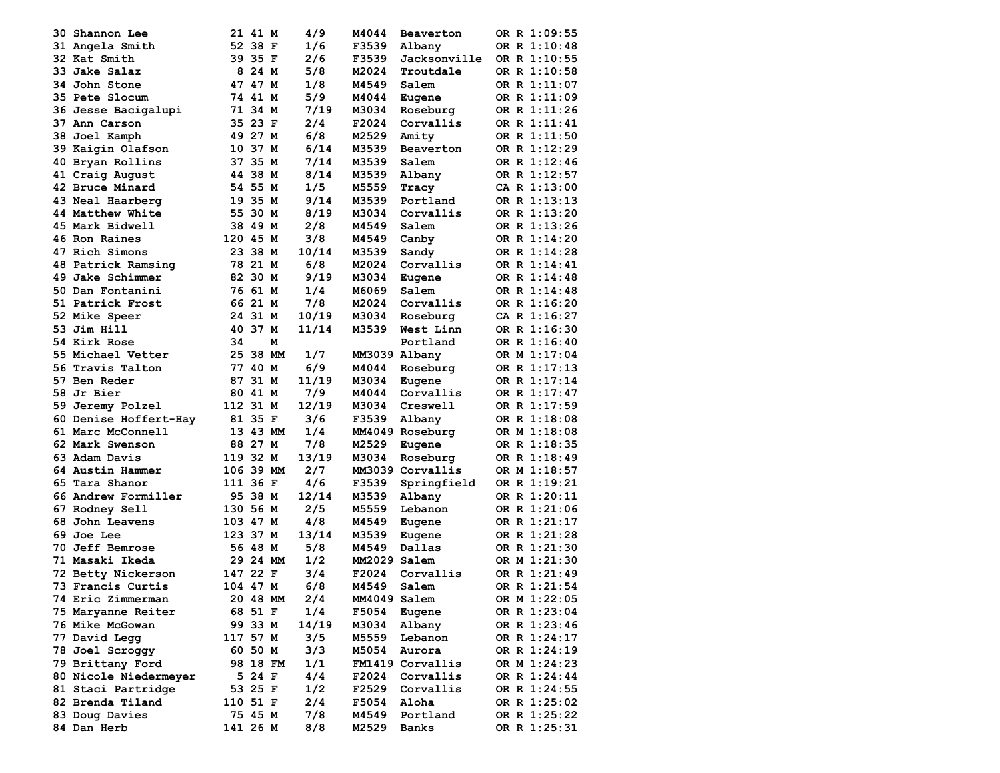| 30 Shannon Lee        |           | 21 41 M |          | 4/9   | M4044        | Beaverton        | OR R 1:09:55 |
|-----------------------|-----------|---------|----------|-------|--------------|------------------|--------------|
| 31 Angela Smith       |           | 52 38 F |          | 1/6   | F3539        | Albany           | OR R 1:10:48 |
| 32 Kat Smith          |           | 39 35 F |          | 2/6   | F3539        | Jacksonville     | OR R 1:10:55 |
| 33 Jake Salaz         |           | 8 24 M  |          | 5/8   | M2024        | Troutdale        | OR R 1:10:58 |
| 34 John Stone         |           | 47 47 M |          | 1/8   | M4549        | Salem            | OR R 1:11:07 |
| <b>35 Pete Slocum</b> |           | 74 41 M |          | 5/9   | M4044        | Eugene           | OR R 1:11:09 |
| 36 Jesse Bacigalupi   |           | 71 34 M |          | 7/19  | M3034        | Roseburg         | OR R 1:11:26 |
| 37 Ann Carson         |           | 35 23 F |          | 2/4   | F2024        | Corvallis        | OR R 1:11:41 |
| 38 Joel Kamph         |           | 49 27 M |          | 6/8   | M2529        | Amity            | OR R 1:11:50 |
| 39 Kaigin Olafson     |           | 10 37 M |          | 6/14  | M3539        | Beaverton        | OR R 1:12:29 |
| 40 Bryan Rollins      |           | 37 35 M |          | 7/14  | M3539        | Salem            | OR R 1:12:46 |
| 41 Craig August       |           | 44 38 M |          | 8/14  | M3539        | Albany           | OR R 1:12:57 |
| 42 Bruce Minard       |           | 54 55 M |          | 1/5   | M5559        | Tracy            | CA R 1:13:00 |
| 43 Neal Haarberg      |           | 19 35 M |          | 9/14  | M3539        | Portland         | OR R 1:13:13 |
| 44 Matthew White      |           | 55 30 M |          | 8/19  | M3034        | Corvallis        | OR R 1:13:20 |
| 45 Mark Bidwell       |           | 38 49 M |          | 2/8   | M4549        | Salem            | OR R 1:13:26 |
| 46 Ron Raines         | 120 45 M  |         |          | 3/8   | M4549        | Canby            | OR R 1:14:20 |
| 47 Rich Simons        |           | 23 38 M |          | 10/14 | M3539        | Sandy            | OR R 1:14:28 |
| 48 Patrick Ramsing    |           | 78 21 M |          | 6/8   | M2024        | Corvallis        | OR R 1:14:41 |
| 49 Jake Schimmer      |           | 82 30 M |          | 9/19  | M3034        | Eugene           | OR R 1:14:48 |
| 50 Dan Fontanini      |           | 76 61 M |          | 1/4   | M6069        | Salem            | OR R 1:14:48 |
| 51 Patrick Frost      |           | 66 21 M |          | 7/8   | M2024        | Corvallis        | OR R 1:16:20 |
| 52 Mike Speer         |           | 24 31 M |          | 10/19 | M3034        | Roseburg         | CA R 1:16:27 |
| 53 Jim Hill           |           | 40 37 M |          | 11/14 | M3539        | West Linn        | OR R 1:16:30 |
| 54 Kirk Rose          | 34        |         | м        |       |              | Portland         | OR R 1:16:40 |
| 55 Michael Vetter     |           |         | 25 38 MM | 1/7   |              | MM3039 Albany    | OR M 1:17:04 |
| 56 Travis Talton      |           | 77 40 M |          | 6/9   | M4044        | Roseburg         | OR R 1:17:13 |
| 57 Ben Reder          |           | 87 31 M |          | 11/19 | M3034        | Eugene           | OR R 1:17:14 |
| 58 Jr Bier            |           | 80 41 M |          | 7/9   | M4044        | Corvallis        | OR R 1:17:47 |
| 59 Jeremy Polzel      | 112 31 M  |         |          | 12/19 | M3034        | Creswell         | OR R 1:17:59 |
| 60 Denise Hoffert-Hay |           | 81 35 F |          | 3/6   | F3539        | Albany           | OR R 1:18:08 |
| 61 Marc McConnell     |           |         | 13 43 MM | 1/4   |              | MM4049 Roseburg  | OR M 1:18:08 |
| 62 Mark Swenson       |           | 88 27 M |          | 7/8   | M2529        | Eugene           | OR R 1:18:35 |
| 63 Adam Davis         | 119 32 M  |         |          | 13/19 | M3034        | Roseburg         | OR R 1:18:49 |
| 64 Austin Hammer      | 106 39 MM |         |          | 2/7   |              | MM3039 Corvallis | OR M 1:18:57 |
| 65 Tara Shanor        | 111 36 F  |         |          | 4/6   | F3539        | Springfield      | OR R 1:19:21 |
| 66 Andrew Formiller   |           | 95 38 M |          | 12/14 | M3539        | Albany           | OR R 1:20:11 |
| 67 Rodney Sell        | 130 56 M  |         |          | 2/5   | M5559        | Lebanon          | OR R 1:21:06 |
| 68 John Leavens       | 103 47 M  |         |          | 4/8   | M4549        | Eugene           | OR R 1:21:17 |
| 69 Joe Lee            | 123 37 M  |         |          | 13/14 | M3539        | Eugene           | OR R 1:21:28 |
| 70 Jeff Bemrose       |           | 56 48 M |          | 5/8   | M4549        | Dallas           | OR R 1:21:30 |
| 71 Masaki Ikeda       |           |         | 29 24 MM | 1/2   | MM2029 Salem |                  | OR M 1:21:30 |
| 72 Betty Nickerson    | 147 22 F  |         |          | 3/4   | F2024        | Corvallis        | OR R 1:21:49 |
| 73 Francis Curtis     | 104 47 M  |         |          | 6/8   | M4549        | Salem            | OR R 1:21:54 |
| 74 Eric Zimmerman     |           |         | 20 48 MM | 2/4   | MM4049 Salem |                  | OR M 1:22:05 |
| 75 Maryanne Reiter    |           | 68 51 F |          | 1/4   | F5054        | Eugene           | OR R 1:23:04 |
| 76 Mike McGowan       |           | 99 33 M |          | 14/19 | M3034        | Albany           | OR R 1:23:46 |
| 77 David Legg         | 117 57 M  |         |          | 3/5   | M5559        | Lebanon          | OR R 1:24:17 |
| 78 Joel Scroggy       |           | 60 50 M |          | 3/3   | M5054        | Aurora           | OR R 1:24:19 |
| 79 Brittany Ford      |           |         | 98 18 FM | 1/1   |              | FM1419 Corvallis | OR M 1:24:23 |
| 80 Nicole Niedermeyer |           | 5 24 F  |          | 4/4   | F2024        | Corvallis        | OR R 1:24:44 |
| 81 Staci Partridge    |           | 53 25 F |          | 1/2   | F2529        | Corvallis        | OR R 1:24:55 |
| 82 Brenda Tiland      | 110 51 F  |         |          | 2/4   | F5054        | Aloha            | OR R 1:25:02 |
| 83 Doug Davies        |           | 75 45 M |          | 7/8   | M4549        | Portland         | OR R 1:25:22 |
| 84 Dan Herb           | 141 26 M  |         |          | 8/8   | M2529        | Banks            | OR R 1:25:31 |
|                       |           |         |          |       |              |                  |              |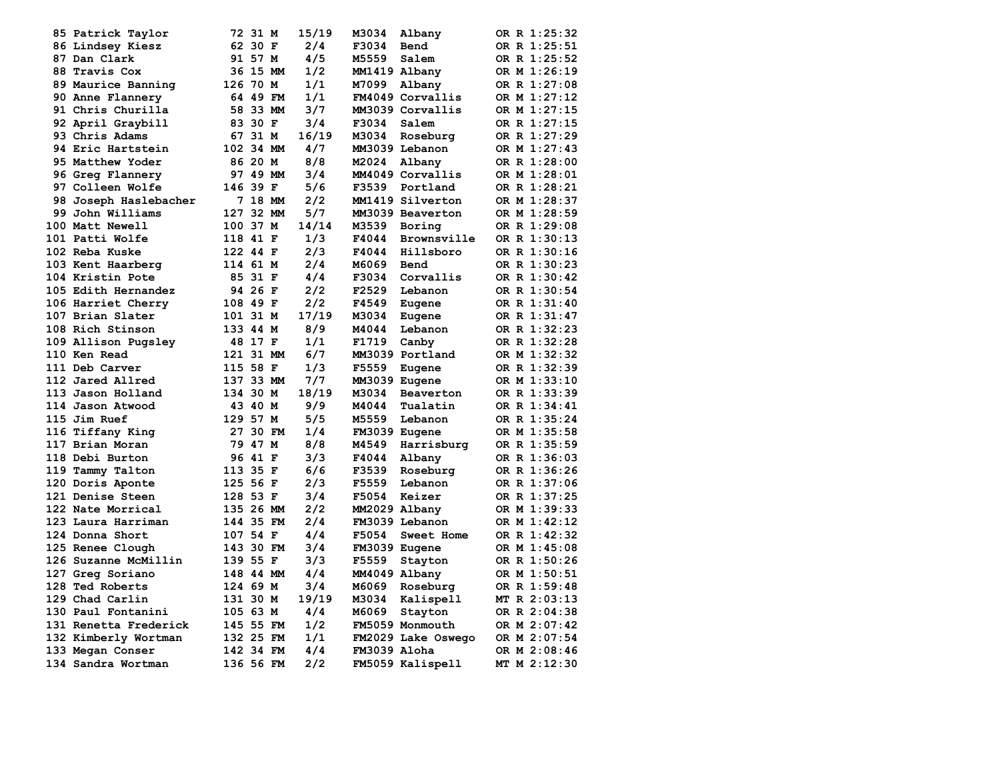| 85 Patrick Taylor     |           | 72 31 M  | 15/19 | M3034        | Albany             | OR R 1:25:32 |
|-----------------------|-----------|----------|-------|--------------|--------------------|--------------|
| 86 Lindsey Kiesz      |           | 62 30 F  | 2/4   | F3034        | Bend               | OR R 1:25:51 |
| 87 Dan Clark          |           | 91 57 M  | 4/5   | M5559        | Salem              | OR R 1:25:52 |
| 88 Travis Cox         |           | 36 15 MM | 1/2   |              | MM1419 Albany      | OR M 1:26:19 |
| 89 Maurice Banning    | 126 70 M  |          | 1/1   | M7099        | Albany             | OR R 1:27:08 |
| 90 Anne Flannery      |           | 64 49 FM | 1/1   |              | FM4049 Corvallis   | OR M 1:27:12 |
| 91 Chris Churilla     |           | 58 33 MM | 3/7   |              | MM3039 Corvallis   | OR M 1:27:15 |
| 92 April Graybill     |           | 83 30 F  | 3/4   | F3034        | Salem              | OR R 1:27:15 |
| 93 Chris Adams        |           | 67 31 M  | 16/19 | M3034        | Roseburg           | OR R 1:27:29 |
| 94 Eric Hartstein     | 102 34 MM |          | 4/7   |              | MM3039 Lebanon     | OR M 1:27:43 |
| 95 Matthew Yoder      |           | 86 20 M  | 8/8   | M2024        | Albany             | OR R 1:28:00 |
| 96 Greg Flannery      |           | 97 49 MM | 3/4   |              | MM4049 Corvallis   | OR M 1:28:01 |
| 97 Colleen Wolfe      | 146 39 F  |          | 5/6   | F3539        | Portland           | OR R 1:28:21 |
| 98 Joseph Haslebacher |           | 7 18 MM  | 2/2   |              | MM1419 Silverton   | OR M 1:28:37 |
| 99 John Williams      | 127 32 MM |          | 5/7   |              | MM3039 Beaverton   | OR M 1:28:59 |
| 100 Matt Newell       | 100 37 M  |          | 14/14 | M3539        | Boring             | OR R 1:29:08 |
| 101 Patti Wolfe       | 118 41 F  |          | 1/3   | F4044        | Brownsville        | OR R 1:30:13 |
| 102 Reba Kuske        | 122 44 F  |          | 2/3   | F4044        | Hillsboro          | OR R 1:30:16 |
| 103 Kent Haarberg     | 114 61 M  |          | 2/4   | M6069        | Bend               | OR R 1:30:23 |
| 104 Kristin Pote      |           | 85 31 F  | 4/4   | F3034        | Corvallis          | OR R 1:30:42 |
| 105 Edith Hernandez   |           | 94 26 F  | 2/2   | F2529        | Lebanon            | OR R 1:30:54 |
| 106 Harriet Cherry    | 108 49 F  |          | 2/2   | F4549        | Eugene             | OR R 1:31:40 |
| 107 Brian Slater      | 101 31 M  |          | 17/19 | M3034        | Eugene             | OR R 1:31:47 |
| 108 Rich Stinson      | 133 44 M  |          | 8/9   | M4044        | Lebanon            | OR R 1:32:23 |
| 109 Allison Pugsley   |           | 48 17 F  | 1/1   | F1719        | Canby              | OR R 1:32:28 |
| 110 Ken Read          | 121 31 MM |          | 6/7   |              | MM3039 Portland    | OR M 1:32:32 |
| 111 Deb Carver        | 115 58 F  |          | 1/3   | F5559        | Eugene             | OR R 1:32:39 |
| 112 Jared Allred      | 137 33 MM |          | 7/7   |              | MM3039 Eugene      | OR M 1:33:10 |
| 113 Jason Holland     | 134 30 M  |          | 18/19 | M3034        | Beaverton          | OR R 1:33:39 |
| 114 Jason Atwood      |           | 43 40 M  | 9/9   | M4044        | Tualatin           | OR R 1:34:41 |
| 115 Jim Ruef          | 129 57 M  |          | 5/5   | M5559        | Lebanon            | OR R 1:35:24 |
| 116 Tiffany King      |           | 27 30 FM | 1/4   |              | FM3039 Eugene      | OR M 1:35:58 |
| 117 Brian Moran       |           | 79 47 M  | 8/8   | M4549        | Harrisburg         | OR R 1:35:59 |
| 118 Debi Burton       |           | 96 41 F  | 3/3   | F4044        | Albany             | OR R 1:36:03 |
| 119 Tammy Talton      | 113 35 F  |          | 6/6   | F3539        | Roseburg           | OR R 1:36:26 |
| 120 Doris Aponte      | 125 56 F  |          | 2/3   | F5559        | Lebanon            | OR R 1:37:06 |
| 121 Denise Steen      | 128 53 F  |          | 3/4   | F5054        | Keizer             | OR R 1:37:25 |
| 122 Nate Morrical     | 135 26 MM |          | 2/2   |              | MM2029 Albany      | OR M 1:39:33 |
| 123 Laura Harriman    | 144 35 FM |          | 2/4   |              | FM3039 Lebanon     | OR M 1:42:12 |
| 124 Donna Short       | 107 54 F  |          | 4/4   | F5054        | Sweet Home         | OR R 1:42:32 |
| 125 Renee Clough      | 143 30 FM |          | 3/4   |              | FM3039 Eugene      | OR M 1:45:08 |
| 126 Suzanne McMillin  | 139 55 F  |          | 3/3   | F5559        | Stayton            | OR R 1:50:26 |
| 127 Greg Soriano      | 148 44 MM |          | 4/4   |              | MM4049 Albany      | OR M 1:50:51 |
| 128 Ted Roberts       | 124 69 M  |          | 3/4   | M6069        | Roseburg           | OR R 1:59:48 |
| 129 Chad Carlin       | 131 30 M  |          | 19/19 | M3034        | Kalispell          | MT R 2:03:13 |
| 130 Paul Fontanini    | 105 63 M  |          | 4/4   | M6069        | Stayton            | OR R 2:04:38 |
| 131 Renetta Frederick | 145 55 FM |          | 1/2   |              | FM5059 Monmouth    | OR M 2:07:42 |
| 132 Kimberly Wortman  | 132 25 FM |          | 1/1   |              | FM2029 Lake Oswego | OR M 2:07:54 |
| 133 Megan Conser      | 142 34 FM |          | 4/4   | FM3039 Aloha |                    | OR M 2:08:46 |
| 134 Sandra Wortman    | 136 56 FM |          | 2/2   |              | FM5059 Kalispell   | MT M 2:12:30 |
|                       |           |          |       |              |                    |              |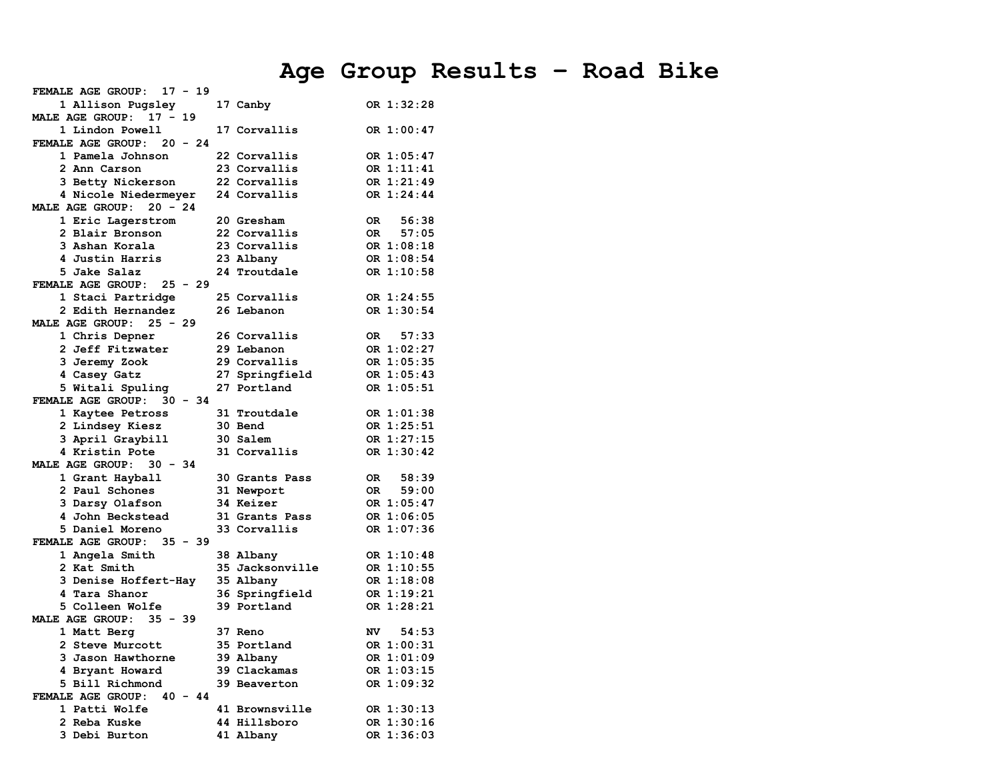# **Age Group Results – Road Bike**

| <b>FEMALE AGE GROUP: 17 - 19</b>    |                 |                    |
|-------------------------------------|-----------------|--------------------|
| 1 Allison Pugsley                   | 17 Canby        | OR 1:32:28         |
| $17 - 19$<br><b>MALE AGE GROUP:</b> |                 |                    |
| 1 Lindon Powell                     | 17 Corvallis    | OR 1:00:47         |
| FEMALE AGE GROUP: 20 - 24           |                 |                    |
| 1 Pamela Johnson                    | 22 Corvallis    | OR 1:05:47         |
| 2 Ann Carson                        | 23 Corvallis    | OR 1:11:41         |
| 3 Betty Nickerson                   | 22 Corvallis    | OR 1:21:49         |
|                                     |                 | OR 1:24:44         |
| 4 Nicole Niedermeyer 24 Corvallis   |                 |                    |
| MALE AGE GROUP: 20 - 24             |                 |                    |
| 1 Eric Lagerstrom                   | 20 Gresham      | 56:38<br>OR.       |
| 2 Blair Bronson                     | 22 Corvallis    | 57:05<br>OR.       |
| 3 Ashan Korala                      | 23 Corvallis    | OR 1:08:18         |
| 4 Justin Harris                     | 23 Albany       | OR 1:08:54         |
| 5 Jake Salaz                        | 24 Troutdale    | OR 1:10:58         |
| FEMALE AGE GROUP: 25 - 29           |                 |                    |
| 1 Staci Partridge                   | 25 Corvallis    | OR 1:24:55         |
| 2 Edith Hernandez                   | 26 Lebanon      | OR 1:30:54         |
| MALE AGE GROUP: 25 - 29             |                 |                    |
| 1 Chris Depner                      | 26 Corvallis    | 57:33<br>OR.       |
| 2 Jeff Fitzwater                    | 29 Lebanon      | OR 1:02:27         |
| 3 Jeremy Zook                       | 29 Corvallis    | OR 1:05:35         |
| 4 Casey Gatz                        | 27 Springfield  | OR 1:05:43         |
| 5 Witali Spuling                    | 27 Portland     | OR 1:05:51         |
| FEMALE AGE GROUP: 30 - 34           |                 |                    |
|                                     |                 |                    |
| 1 Kaytee Petross                    | 31 Troutdale    | OR 1:01:38         |
| 2 Lindsey Kiesz                     | 30 Bend         | OR 1:25:51         |
| 3 April Graybill                    | 30 Salem        | OR 1:27:15         |
| 4 Kristin Pote                      | 31 Corvallis    | OR 1:30:42         |
| MALE AGE GROUP:<br>$30 - 34$        |                 |                    |
| 1 Grant Hayball                     | 30 Grants Pass  | 58:39<br>OR.       |
| 2 Paul Schones                      | 31 Newport      | OR DR<br>59:00     |
| 3 Darsy Olafson                     | 34 Keizer       | OR 1:05:47         |
| 4 John Beckstead                    | 31 Grants Pass  | OR 1:06:05         |
| 5 Daniel Moreno                     | 33 Corvallis    | OR 1:07:36         |
| FEMALE AGE GROUP: 35 - 39           |                 |                    |
| 1 Angela Smith                      | 38 Albany       | OR 1:10:48         |
| 2 Kat Smith                         | 35 Jacksonville | OR 1:10:55         |
| 3 Denise Hoffert-Hay                | 35 Albany       | OR 1:18:08         |
| 4 Tara Shanor                       | 36 Springfield  | OR 1:19:21         |
| 5 Colleen Wolfe                     | 39 Portland     | OR 1:28:21         |
| MALE AGE GROUP: 35 - 39             |                 |                    |
|                                     | 37 Reno         | <b>NV</b><br>54:53 |
| 1 Matt Berg                         |                 |                    |
| 2 Steve Murcott                     | 35 Portland     | OR 1:00:31         |
| 3 Jason Hawthorne                   | 39 Albany       | OR 1:01:09         |
| 4 Bryant Howard                     | 39 Clackamas    | OR 1:03:15         |
| 5 Bill Richmond                     | 39 Beaverton    | OR 1:09:32         |
| FEMALE AGE GROUP: 40 - 44           |                 |                    |
| 1 Patti Wolfe                       | 41 Brownsville  | OR 1:30:13         |
| 2 Reba Kuske                        | 44 Hillsboro    | OR 1:30:16         |
| 3 Debi Burton                       | 41 Albany       | OR 1:36:03         |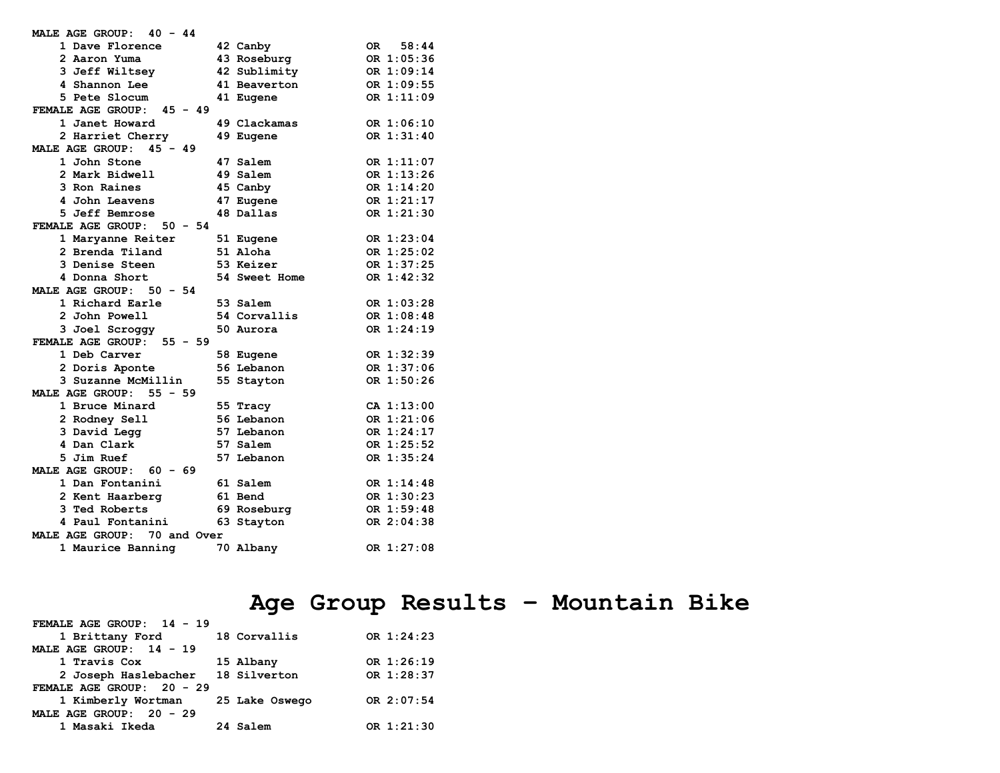| MALE AGE GROUP: 40 - 44     |               |                    |
|-----------------------------|---------------|--------------------|
| 1 Dave Florence             | 42 Canby      | 58:44<br><b>OR</b> |
| 2 Aaron Yuma                | 43 Roseburg   | OR 1:05:36         |
| 3 Jeff Wiltsey              | 42 Sublimity  | OR 1:09:14         |
| 4 Shannon Lee               | 41 Beaverton  | OR 1:09:55         |
| 5 Pete Slocum               | 41 Eugene     | OR 1:11:09         |
| FEMALE AGE GROUP: 45 - 49   |               |                    |
| 1 Janet Howard              | 49 Clackamas  | OR 1:06:10         |
| 2 Harriet Cherry            | 49 Eugene     | OR 1:31:40         |
| MALE AGE GROUP: 45 - 49     |               |                    |
| 1 John Stone                | 47 Salem      | OR 1:11:07         |
| 2 Mark Bidwell              | 49 Salem      | OR 1:13:26         |
| 3 Ron Raines                | 45 Canby      | OR 1:14:20         |
| 4 John Leavens              | 47 Eugene     | OR 1:21:17         |
| 5 Jeff Bemrose              | 48 Dallas     | OR 1:21:30         |
| FEMALE AGE GROUP: 50 - 54   |               |                    |
| 1 Maryanne Reiter           | 51 Eugene     | OR 1:23:04         |
| 2 Brenda Tiland             | 51 Aloha      | OR 1:25:02         |
| 3 Denise Steen              | 53 Keizer     | OR 1:37:25         |
| 4 Donna Short               | 54 Sweet Home | OR 1:42:32         |
| MALE AGE GROUP: 50 - 54     |               |                    |
| 1 Richard Earle             | 53 Salem      | OR 1:03:28         |
| 2 John Powell               | 54 Corvallis  | OR 1:08:48         |
| 3 Joel Scroggy              | 50 Aurora     | OR 1:24:19         |
| FEMALE AGE GROUP: 55 - 59   |               |                    |
| 1 Deb Carver                | 58 Eugene     | OR 1:32:39         |
| 2 Doris Aponte              | 56 Lebanon    | OR 1:37:06         |
| 3 Suzanne McMillin          | 55 Stayton    | OR 1:50:26         |
| MALE AGE GROUP: 55 - 59     |               |                    |
| 1 Bruce Minard              | 55 Tracy      | CA 1:13:00         |
| 2 Rodney Sell               | 56 Lebanon    | OR 1:21:06         |
| 3 David Legg                | 57 Lebanon    | OR 1:24:17         |
| 4 Dan Clark                 | 57 Salem      | OR 1:25:52         |
| 5 Jim Ruef                  | 57 Lebanon    | OR 1:35:24         |
| MALE AGE GROUP: 60 - 69     |               |                    |
| 1 Dan Fontanini             | 61 Salem      | OR 1:14:48         |
| 2 Kent Haarberg             | 61 Bend       | OR 1:30:23         |
| 3 Ted Roberts               | 69 Roseburg   | OR 1:59:48         |
| 4 Paul Fontanini            | 63 Stayton    | OR 2:04:38         |
| MALE AGE GROUP: 70 and Over |               |                    |
| 1 Maurice Banning           | 70 Albany     | OR 1:27:08         |

## **Age Group Results – Mountain Bike**

|  |                                                                         | OR 1:24:23 |
|--|-------------------------------------------------------------------------|------------|
|  |                                                                         |            |
|  |                                                                         | OR 1:26:19 |
|  |                                                                         | OR 1:28:37 |
|  |                                                                         |            |
|  |                                                                         | OR 2:07:54 |
|  |                                                                         |            |
|  |                                                                         | OR 1:21:30 |
|  | 18 Corvallis<br>15 Albany<br>18 Silverton<br>25 Lake Oswego<br>24 Salem |            |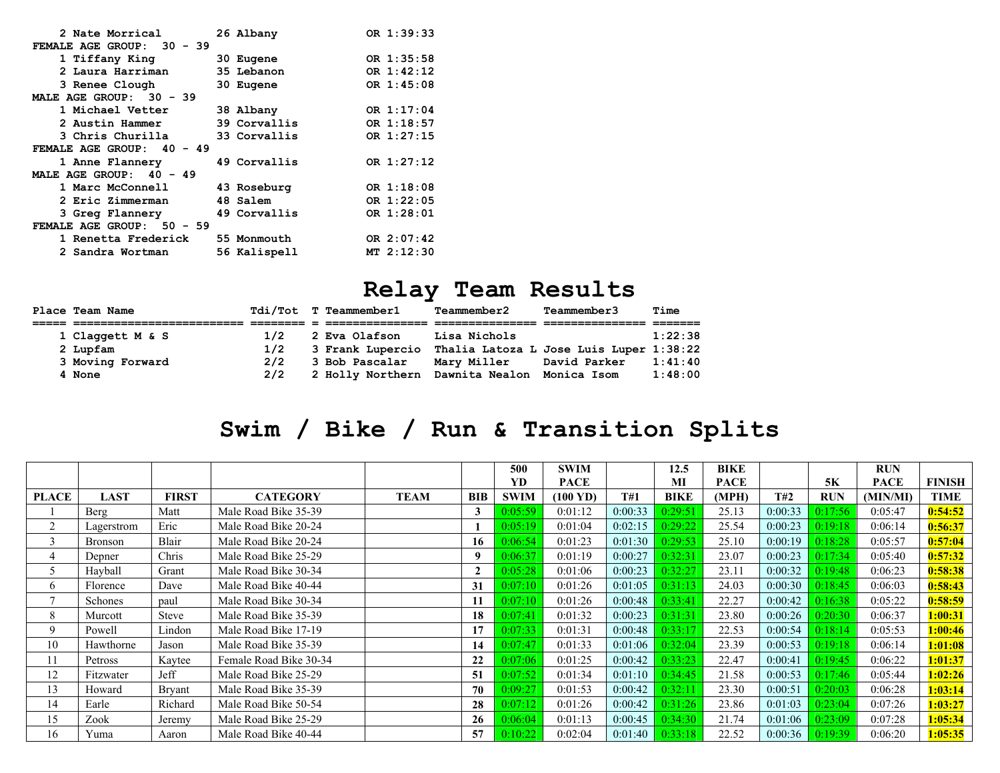| 2 Nate Morrical<br>FEMALE AGE GROUP: 30 - 39 | 26 Albany    | OR 1:39:33   |
|----------------------------------------------|--------------|--------------|
| 1 Tiffany King                               | 30 Eugene    | OR 1:35:58   |
| 2 Laura Harriman                             | 35 Lebanon   | OR $1:42:12$ |
| 3 Renee Clough                               | 30 Eugene    | OR 1:45:08   |
| MALE AGE GROUP: 30 - 39                      |              |              |
| 1 Michael Vetter                             | 38 Albany    | OR 1:17:04   |
| 2 Austin Hammer                              | 39 Corvallis | OR 1:18:57   |
| 3 Chris Churilla                             | 33 Corvallis | OR 1:27:15   |
| FEMALE AGE GROUP: 40 - 49                    |              |              |
| 1 Anne Flannery                              | 49 Corvallis | OR 1:27:12   |
| MALE AGE GROUP: 40 - 49                      |              |              |
| 1 Marc McConnell                             | 43 Roseburg  | OR 1:18:08   |
| 2 Eric Zimmerman                             | 48 Salem     | OR $1:22:05$ |
| 3 Greg Flannery                              | 49 Corvallis | OR 1:28:01   |
| FEMALE AGE GROUP: 50 - 59                    |              |              |
| 1 Renetta Frederick                          | 55 Monmouth  | OR 2:07:42   |
| 2 Sandra Wortman                             | 56 Kalispell | MT 2:12:30   |

#### **Relay Team Results**

| Place Team Name  |     | Tdi/Tot T Teammember1 | Teammember2    | Teammember3                             | Time    |
|------------------|-----|-----------------------|----------------|-----------------------------------------|---------|
|                  |     |                       |                |                                         |         |
| 1 Claggett M & S | 1/2 | 2 Eva Olafson         | Lisa Nichols   |                                         | 1:22:38 |
| 2 Lupfam         | 1/2 | 3 Frank Lupercio      |                | Thalia Latoza L Jose Luis Luper 1:38:22 |         |
| 3 Moving Forward | 2/2 | 3 Bob Pascalar        | Mary Miller    | David Parker                            | 1:41:40 |
| 4 None           | 2/2 | 2 Holly Northern      | Dawnita Nealon | Monica Isom                             | 1:48:00 |

## **Swim / Bike / Run & Transition Splits**

|                |                |              |                        |             |            | 500         | <b>SWIM</b>        |         | 12.5        | <b>BIKE</b> |         |            | <b>RUN</b>  |               |
|----------------|----------------|--------------|------------------------|-------------|------------|-------------|--------------------|---------|-------------|-------------|---------|------------|-------------|---------------|
|                |                |              |                        |             |            | YD          | <b>PACE</b>        |         | MI          | <b>PACE</b> |         | 5K         | <b>PACE</b> | <b>FINISH</b> |
| <b>PLACE</b>   | <b>LAST</b>    | <b>FIRST</b> | <b>CATEGORY</b>        | <b>TEAM</b> | <b>BIB</b> | <b>SWIM</b> | $(100 \text{ YD})$ | T#1     | <b>BIKE</b> | (MPH)       | T#2     | <b>RUN</b> | (MIN/MI)    | <b>TIME</b>   |
|                | Berg           | Matt         | Male Road Bike 35-39   |             |            | 0:05:59     | 0:01:12            | 0:00:33 | 0:29:51     | 25.13       | 0:00:33 | 0:17:56    | 0:05:47     | 0:54:52       |
| 2              | Lagerstrom     | Eric         | Male Road Bike 20-24   |             |            | 0:05:19     | 0:01:04            | 0:02:15 | 0:29:22     | 25.54       | 0:00:23 | 0:19:18    | 0:06:14     | 0:56:37       |
| 3              | <b>Bronson</b> | Blair        | Male Road Bike 20-24   |             | 16         | 0:06:54     | 0:01:23            | 0:01:30 | 0:29:53     | 25.10       | 0:00:19 | 0:18:28    | 0:05:57     | 0:57:04       |
| $\overline{4}$ | Depner         | Chris        | Male Road Bike 25-29   |             |            | 0:06:37     | 0:01:19            | 0:00:27 | 0:32:31     | 23.07       | 0:00:23 | 0:17:34    | 0:05:40     | 0:57:32       |
| 5              | Hayball        | Grant        | Male Road Bike 30-34   |             |            | 0:05:28     | 0:01:06            | 0:00:23 | 0:32:27     | 23.11       | 0:00:32 | 0:19:48    | 0:06:23     | 0:58:38       |
| 6              | Florence       | Dave         | Male Road Bike 40-44   |             | 31         | 0:07:10     | 0:01:26            | 0:01:05 | 0:31:13     | 24.03       | 0:00:30 | 0:18:45    | 0:06:03     | 0:58:43       |
| $\mathbf{r}$   | Schones        | paul         | Male Road Bike 30-34   |             |            | 0:07:10     | 0:01:26            | 0:00:48 | 0:33:41     | 22.27       | 0:00:42 | 0:16:38    | 0:05:22     | 0:58:59       |
| 8              | Murcott        | Steve        | Male Road Bike 35-39   |             | 18         | 0:07:41     | 0:01:32            | 0:00:23 | 0:31:31     | 23.80       | 0:00:26 | 0:20:30    | 0:06:37     | 1:00:31       |
| 9              | Powell         | Lindon       | Male Road Bike 17-19   |             |            | 0:07:33     | 0:01:31            | 0:00:48 | 0:33:17     | 22.53       | 0:00:54 | 0:18:14    | 0:05:53     | 1:00:46       |
| 10             | Hawthorne      | Jason        | Male Road Bike 35-39   |             | 14         | 0:07:47     | 0:01:33            | 0:01:06 | 0:32:04     | 23.39       | 0:00:53 | 0:19:18    | 0:06:14     | 1:01:08       |
| 11             | Petross        | Kaytee       | Female Road Bike 30-34 |             | 22         | 0:07:06     | 0:01:25            | 0:00:42 | 0:33:23     | 22.47       | 0:00:41 | 0:19:45    | 0:06:22     | 1:01:37       |
| 12             | Fitzwater      | Jeff         | Male Road Bike 25-29   |             | 51         | 0:07:52     | 0:01:34            | 0:01:10 | 0:34:45     | 21.58       | 0:00:53 | 0:17:46    | 0:05:44     | 1:02:26       |
| 13             | Howard         | Bryant       | Male Road Bike 35-39   |             | 70         | 0:09:27     | 0:01:53            | 0:00:42 | 0:32:1      | 23.30       | 0:00:51 | 0:20:03    | 0:06:28     | 1:03:14       |
| 14             | Earle          | Richard      | Male Road Bike 50-54   |             | 28         | 0:07:12     | 0:01:26            | 0:00:42 | 0:31:26     | 23.86       | 0:01:03 | 0:23:04    | 0:07:26     | 1:03:27       |
| 15             | Zook           | Jeremy       | Male Road Bike 25-29   |             | 26         | 0:06:04     | 0:01:13            | 0:00:45 | 0:34:30     | 21.74       | 0:01:06 | 0:23:09    | 0:07:28     | 1:05:34       |
| 16             | Yuma           | Aaron        | Male Road Bike 40-44   |             | 57         | 0:10:22     | 0:02:04            | 0:01:40 | 0:33:18     | 22.52       | 0:00:36 | 0:19:39    | 0:06:20     | 1:05:35       |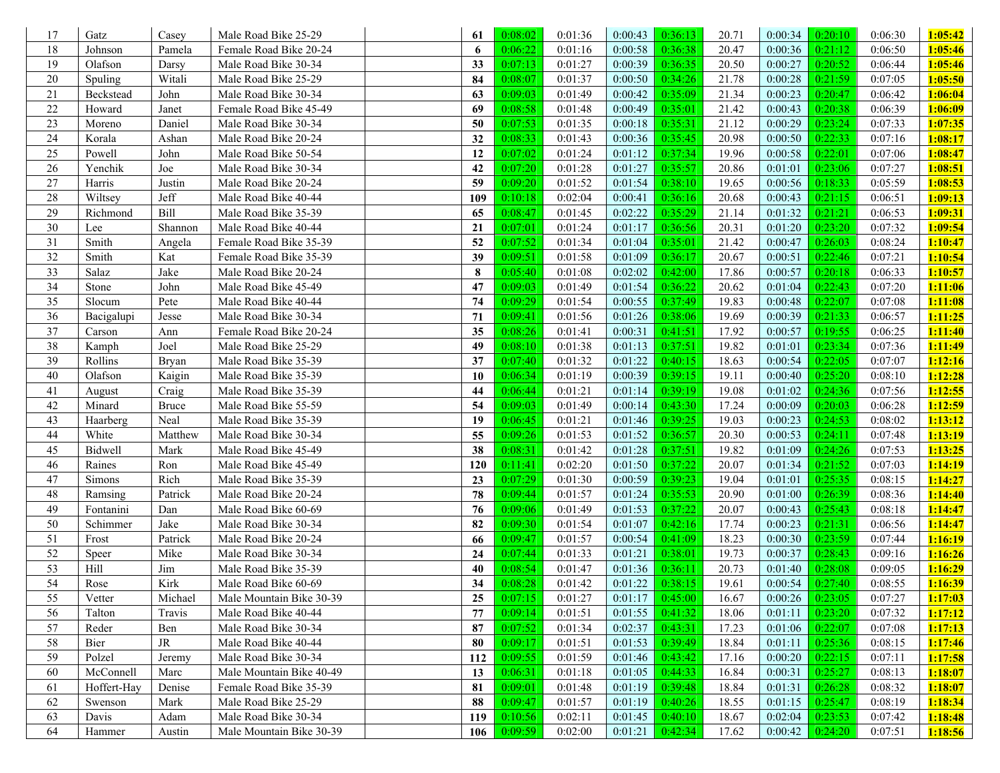| 17     | Gatz        | Casey        | Male Road Bike 25-29     | 61       | 0:08:02 | 0:01:36 | 0:00:43 | 0:36:13           | 20.71 | 0:00:34 | 0:20:10           | 0:06:30 | 1:05:42        |
|--------|-------------|--------------|--------------------------|----------|---------|---------|---------|-------------------|-------|---------|-------------------|---------|----------------|
| 18     | Johnson     | Pamela       | Female Road Bike 20-24   | 6        | 0:06:22 | 0:01:16 | 0:00:58 | 0:36:38           | 20.47 | 0:00:36 | 0:21:12           | 0:06:50 | 1:05:46        |
| 19     | Olafson     | Darsy        | Male Road Bike 30-34     | 33       | 0:07:13 | 0:01:27 | 0:00:39 | 0:36:35           | 20.50 | 0:00:27 | 0:20:52           | 0:06:44 | <b>1:05:46</b> |
| 20     | Spuling     | Witali       | Male Road Bike 25-29     | 84       | 0:08:07 | 0:01:37 | 0:00:50 | 0:34:26           | 21.78 | 0:00:28 | 0:21:59           | 0:07:05 | 1:05:50        |
| 21     | Beckstead   | John         | Male Road Bike 30-34     | 63       | 0:09:03 | 0:01:49 | 0:00:42 | 0:35:09           | 21.34 | 0:00:23 | 0:20:47           | 0:06:42 | 1:06:04        |
| $22\,$ | Howard      | Janet        | Female Road Bike 45-49   | 69       | 0:08:58 | 0:01:48 | 0:00:49 | 0:35:01           | 21.42 | 0:00:43 | 0:20:38           | 0:06:39 | <b>1:06:09</b> |
| 23     | Moreno      | Daniel       | Male Road Bike 30-34     | 50       | 0:07:53 | 0:01:35 | 0:00:18 | 0:35:31           | 21.12 | 0:00:29 | 0:23:24           | 0:07:33 | 1:07:35        |
| 24     | Korala      | Ashan        | Male Road Bike 20-24     | 32       | 0:08:33 | 0:01:43 | 0:00:36 | 0:35:45           | 20.98 | 0:00:50 | 0:22:33           | 0:07:16 | 1:08:17        |
| $25\,$ | Powell      | John         | Male Road Bike 50-54     | 12       | 0:07:02 | 0:01:24 | 0:01:12 | 0:37:34           | 19.96 | 0:00:58 | 0:22:01           | 0:07:06 | 1:08:47        |
| $26\,$ | Yenchik     | Joe          | Male Road Bike 30-34     | 42       | 0:07:20 | 0:01:28 | 0:01:27 | 0:35:57           | 20.86 | 0:01:01 | 0:23:06           | 0:07:27 | 1:08:51        |
| $27\,$ | Harris      | Justin       | Male Road Bike 20-24     | 59       | 0:09:20 | 0:01:52 | 0:01:54 | 0:38:10           | 19.65 | 0:00:56 | 0:18:33           | 0:05:59 | 1:08:53        |
| 28     | Wiltsey     | Jeff         | Male Road Bike 40-44     | 109      | 0:10:18 | 0:02:04 | 0:00:41 | 0:36:16           | 20.68 | 0:00:43 | 0:21:15           | 0:06:51 | 1:09:13        |
| 29     | Richmond    | Bill         | Male Road Bike 35-39     | 65       | 0:08:47 | 0:01:45 | 0:02:22 | 0:35:29           | 21.14 | 0:01:32 | 0:21:21           | 0:06:53 | 1:09:31        |
| 30     | Lee         | Shannon      | Male Road Bike 40-44     | 21       | 0:07:01 | 0:01:24 | 0:01:17 | 0:36:56           | 20.31 | 0:01:20 | 0:23:20           | 0:07:32 | <b>1:09:54</b> |
| 31     | Smith       | Angela       | Female Road Bike 35-39   | 52       | 0:07:52 | 0:01:34 | 0:01:04 | 0:35:01           | 21.42 | 0:00:47 | 0:26:03           | 0:08:24 | <b>1:10:47</b> |
| 32     | Smith       | Kat          | Female Road Bike 35-39   | 39       | 0:09:51 | 0:01:58 | 0:01:09 | 0:36:17           | 20.67 | 0:00:51 | 0:22:46           | 0:07:21 | 1:10:54        |
| 33     | Salaz       | Jake         | Male Road Bike 20-24     | $\bf{8}$ | 0:05:40 | 0:01:08 | 0:02:02 | 0:42:00           | 17.86 | 0:00:57 | 0:20:18           | 0:06:33 | 1:10:57        |
| 34     | Stone       | John         | Male Road Bike 45-49     | 47       | 0:09:03 | 0:01:49 | 0:01:54 | 0:36:22           | 20.62 | 0:01:04 | 0:22:43           | 0:07:20 | <b>1:11:06</b> |
| 35     | Slocum      | Pete         | Male Road Bike 40-44     | 74       | 0:09:29 | 0:01:54 | 0:00:55 | 0:37:49           | 19.83 | 0:00:48 | 0:22:07           | 0:07:08 | 1:11:08        |
| 36     | Bacigalupi  | Jesse        | Male Road Bike 30-34     | 71       | 0:09:41 | 0:01:56 | 0:01:26 | 0:38:06           | 19.69 | 0:00:39 | 0:21:33           | 0:06:57 | 1:11:25        |
| 37     | Carson      | Ann          | Female Road Bike 20-24   | 35       | 0:08:26 | 0:01:41 | 0:00:31 | 0:41:51           | 17.92 | 0:00:57 | 0:19:55           | 0:06:25 | <b>1:11:40</b> |
| 38     | Kamph       | Joel         | Male Road Bike 25-29     | 49       | 0:08:10 | 0:01:38 | 0:01:13 | 0:37:51           | 19.82 | 0:01:01 | 0:23:34           | 0:07:36 | <u>1:11:49</u> |
| 39     | Rollins     | <b>Bryan</b> | Male Road Bike 35-39     | 37       | 0:07:40 | 0:01:32 | 0:01:22 | 0:40:15           | 18.63 | 0:00:54 | 0:22:05           | 0:07:07 | 1:12:16        |
| 40     | Olafson     | Kaigin       | Male Road Bike 35-39     | 10       | 0:06:34 | 0:01:19 | 0:00:39 | 0:39:15           | 19.11 | 0:00:40 | 0:25:20           | 0:08:10 | 1:12:28        |
| 41     | August      | Craig        | Male Road Bike 35-39     | 44       | 0:06:44 | 0:01:21 | 0:01:14 | 0:39:19           | 19.08 | 0:01:02 | 0:24:36           | 0:07:56 | 1:12:55        |
| 42     | Minard      | <b>Bruce</b> | Male Road Bike 55-59     | 54       | 0:09:03 | 0:01:49 | 0:00:14 | 0:43:30           | 17.24 | 0:00:09 | 0:20:03           | 0:06:28 | 1:12:59        |
| 43     | Haarberg    | Neal         | Male Road Bike 35-39     | 19       | 0:06:45 | 0:01:21 | 0:01:46 | 0:39:25           | 19.03 | 0:00:23 | 0:24:53           | 0:08:02 | 1:13:12        |
| 44     | White       | Matthew      | Male Road Bike 30-34     | 55       | 0:09:26 | 0:01:53 | 0:01:52 | 0:36:57           | 20.30 | 0:00:53 | 0:24:11           | 0:07:48 | 1:13:19        |
| 45     | Bidwell     | Mark         | Male Road Bike 45-49     | 38       | 0:08:31 | 0:01:42 | 0:01:28 | 0:37:51           | 19.82 | 0:01:09 | 0:24:26           | 0:07:53 | 1:13:25        |
| 46     | Raines      | Ron          | Male Road Bike 45-49     | 120      | 0:11:41 | 0:02:20 | 0:01:50 | 0:37:22           | 20.07 | 0:01:34 | 0:21:52           | 0:07:03 | <b>1:14:19</b> |
| 47     | Simons      | Rich         | Male Road Bike 35-39     | 23       | 0:07:29 | 0:01:30 | 0:00:59 | 0:39:23           | 19.04 | 0:01:01 | 0:25:35           | 0:08:15 | 1:14:27        |
| 48     | Ramsing     | Patrick      | Male Road Bike 20-24     | 78       | 0:09:44 | 0:01:57 | 0:01:24 | 0:35:53           | 20.90 | 0:01:00 | 0:26:39           | 0:08:36 | 1:14:40        |
| 49     | Fontanini   | Dan          | Male Road Bike 60-69     | 76       | 0:09:06 | 0:01:49 | 0:01:53 | 0:37:22           | 20.07 | 0:00:43 | 0:25:43           | 0:08:18 | 1:14:47        |
| 50     | Schimmer    | Jake         | Male Road Bike 30-34     | 82       | 0:09:30 | 0:01:54 | 0:01:07 | 0:42:16           | 17.74 | 0:00:23 | 0:21:31           | 0:06:56 | 1:14:47        |
| 51     | Frost       | Patrick      | Male Road Bike 20-24     | 66       | 0:09:47 | 0:01:57 | 0:00:54 | 0:41:09           | 18.23 | 0:00:30 | 0:23:59           | 0:07:44 | 1:16:19        |
| 52     | Speer       | Mike         | Male Road Bike 30-34     | 24       | 0:07:44 | 0:01:33 | 0:01:21 | 0:38:01           | 19.73 | 0:00:37 | 0:28:43           | 0:09:16 | 1:16:26        |
| 53     | Hill        | Jim          | Male Road Bike 35-39     | 40       | 0:08:54 | 0:01:47 | 0:01:36 | 0:36:11           | 20.73 | 0:01:40 | 0:28:08           | 0:09:05 | 1:16:29        |
| 54     | Rose        | Kirk         | Male Road Bike 60-69     | 34       | 0:08:28 | 0:01:42 | 0:01:22 | 0:38:15           | 19.61 | 0:00:54 | 0:27:40           | 0:08:55 | 1:16:39        |
| 55     | Vetter      | Michael      | Male Mountain Bike 30-39 | 25       | 0:07:15 | 0:01:27 |         | $0:01:17$ 0:45:00 | 16.67 |         | $0:00:26$ 0:23:05 | 0:07:27 | 1:17:03        |
| 56     | Talton      | Travis       | Male Road Bike 40-44     | 77       | 0:09:14 | 0:01:51 | 0:01:55 | 0:41:32           | 18.06 | 0:01:11 | 0:23:20           | 0:07:32 | 1:17:12        |
| 57     | Reder       | Ben          | Male Road Bike 30-34     | 87       | 0:07:52 | 0:01:34 | 0:02:37 | 0:43:31           | 17.23 | 0:01:06 | 0:22:07           | 0:07:08 | 1:17:13        |
| $58\,$ | Bier        | JR           | Male Road Bike 40-44     | 80       | 0:09:17 | 0:01:51 | 0:01:53 | 0:39:49           | 18.84 | 0:01:11 | 0:25:36           | 0:08:15 | 1:17:46        |
| 59     | Polzel      | Jeremy       | Male Road Bike 30-34     | 112      | 0:09:55 | 0:01:59 | 0:01:46 | 0:43:42           | 17.16 | 0:00:20 | 0:22:15           | 0:07:11 | 1:17:58        |
| 60     | McConnell   | Marc         | Male Mountain Bike 40-49 | 13       | 0:06:31 | 0:01:18 | 0:01:05 | 0:44:33           | 16.84 | 0:00:31 | 0:25:27           | 0:08:13 | 1:18:07        |
| 61     | Hoffert-Hay | Denise       | Female Road Bike 35-39   | 81       | 0:09:01 | 0:01:48 | 0:01:19 | 0:39:48           | 18.84 | 0:01:31 | 0:26:28           | 0:08:32 | 1:18:07        |
| 62     | Swenson     | Mark         | Male Road Bike 25-29     | 88       | 0:09:47 | 0:01:57 | 0:01:19 | 0:40:26           | 18.55 | 0:01:15 | 0:25:47           | 0:08:19 | 1:18:34        |
| 63     | Davis       | Adam         | Male Road Bike 30-34     | 119      | 0:10:56 | 0:02:11 | 0:01:45 | 0:40:10           | 18.67 | 0:02:04 | 0:23:53           | 0:07:42 | 1:18:48        |
| 64     | Hammer      | Austin       | Male Mountain Bike 30-39 | 106      | 0:09:59 | 0:02:00 | 0:01:21 | 0:42:34           | 17.62 | 0:00:42 | 0:24:20           | 0:07:51 | 1:18:56        |
|        |             |              |                          |          |         |         |         |                   |       |         |                   |         |                |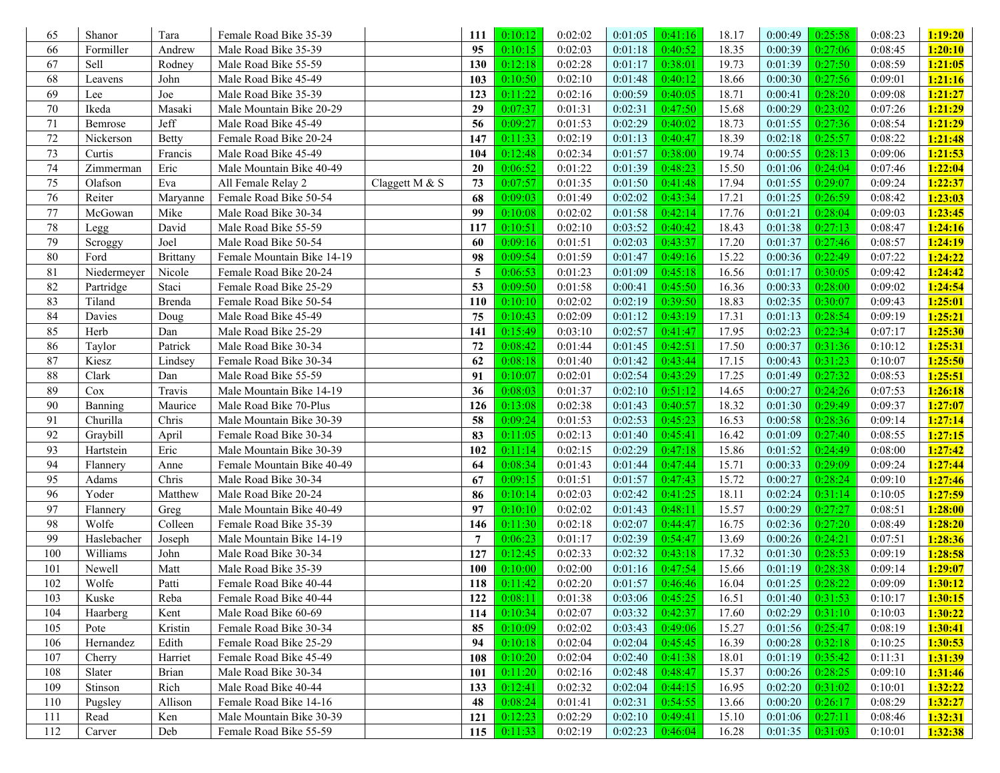| 65      | Shanor      | Tara            | Female Road Bike 35-39     |                | 111            | 0:10:12 | 0:02:02 | 0:01:05 | 0:41:16           | 18.17 | 0:00:49 | 0:25:58 | 0:08:23 | <b>1:19:20</b> |
|---------|-------------|-----------------|----------------------------|----------------|----------------|---------|---------|---------|-------------------|-------|---------|---------|---------|----------------|
| 66      | Formiller   | Andrew          | Male Road Bike 35-39       |                | 95             | 0:10:15 | 0:02:03 | 0:01:18 | 0:40:52           | 18.35 | 0:00:39 | 0:27:06 | 0:08:45 | 1:20:10        |
| 67      | Sell        | Rodney          | Male Road Bike 55-59       |                | 130            | 0:12:18 | 0:02:28 | 0:01:17 | 0:38:01           | 19.73 | 0:01:39 | 0:27:50 | 0:08:59 | 1:21:05        |
| 68      | Leavens     | John            | Male Road Bike 45-49       |                | 103            | 0:10:50 | 0:02:10 | 0:01:48 | 0:40:12           | 18.66 | 0:00:30 | 0:27:56 | 0:09:01 | 1:21:16        |
| 69      | Lee         | Joe             | Male Road Bike 35-39       |                | 123            | 0:11:22 | 0:02:16 | 0:00:59 | 0:40:05           | 18.71 | 0:00:41 | 0:28:20 | 0:09:08 | 1:21:27        |
| $70\,$  | Ikeda       | Masaki          | Male Mountain Bike 20-29   |                | 29             | 0:07:37 | 0:01:31 | 0:02:31 | 0:47:50           | 15.68 | 0:00:29 | 0:23:02 | 0:07:26 | 1:21:29        |
| 71      | Bemrose     | Jeff            | Male Road Bike 45-49       |                | 56             | 0:09:27 | 0:01:53 | 0:02:29 | 0:40:02           | 18.73 | 0:01:55 | 0:27:36 | 0:08:54 | 1:21:29        |
| $72\,$  | Nickerson   | <b>Betty</b>    | Female Road Bike 20-24     |                | 147            | 0:11:33 | 0:02:19 | 0:01:13 | 0:40:47           | 18.39 | 0:02:18 | 0:25:57 | 0:08:22 | 1:21:48        |
| $73\,$  | Curtis      | Francis         | Male Road Bike 45-49       |                | 104            | 0:12:48 | 0:02:34 | 0:01:57 | 0:38:00           | 19.74 | 0:00:55 | 0:28:13 | 0:09:06 | <b>1:21:53</b> |
| $74\,$  | Zimmerman   | Eric            | Male Mountain Bike 40-49   |                | 20             | 0:06:52 | 0:01:22 | 0:01:39 | 0:48:23           | 15.50 | 0:01:06 | 0:24:04 | 0:07:46 | 1:22:04        |
| 75      | Olafson     | Eva             | All Female Relay 2         | Claggett M & S | 73             | 0:07:57 | 0:01:35 | 0:01:50 | 0:41:48           | 17.94 | 0:01:55 | 0:29:07 | 0:09:24 | 1:22:37        |
| $76\,$  | Reiter      | Maryanne        | Female Road Bike 50-54     |                | 68             | 0:09:03 | 0:01:49 | 0:02:02 | 0:43:34           | 17.21 | 0:01:25 | 0:26:59 | 0:08:42 | 1:23:03        |
| $77 \,$ | McGowan     | Mike            | Male Road Bike 30-34       |                | 99             | 0:10:08 | 0:02:02 | 0:01:58 | 0:42:14           | 17.76 | 0:01:21 | 0:28:04 | 0:09:03 | 1:23:45        |
| $78\,$  | Legg        | David           | Male Road Bike 55-59       |                | 117            | 0:10:51 | 0:02:10 | 0:03:52 | 0:40:42           | 18.43 | 0:01:38 | 0:27:13 | 0:08:47 | 1:24:16        |
| 79      | Scroggy     | Joel            | Male Road Bike 50-54       |                | 60             | 0:09:16 | 0:01:51 | 0:02:03 | 0:43:37           | 17.20 | 0:01:37 | 0:27:46 | 0:08:57 | 1:24:19        |
| $80\,$  | Ford        | <b>Brittany</b> | Female Mountain Bike 14-19 |                | 98             | 0:09:54 | 0:01:59 | 0:01:47 | 0:49:16           | 15.22 | 0:00:36 | 0:22:49 | 0:07:22 | 1:24:22        |
| 81      | Niedermeyer | Nicole          | Female Road Bike 20-24     |                | 5              | 0:06:53 | 0:01:23 | 0:01:09 | 0:45:18           | 16.56 | 0:01:17 | 0:30:05 | 0:09:42 | 1:24:42        |
| 82      | Partridge   | Staci           | Female Road Bike 25-29     |                | 53             | 0:09:50 | 0:01:58 | 0:00:41 | 0:45:50           | 16.36 | 0:00:33 | 0:28:00 | 0:09:02 | 1:24:54        |
| 83      | Tiland      | Brenda          | Female Road Bike 50-54     |                | 110            | 0:10:10 | 0:02:02 | 0:02:19 | 0:39:50           | 18.83 | 0:02:35 | 0:30:07 | 0:09:43 | 1:25:01        |
| 84      | Davies      | Doug            | Male Road Bike 45-49       |                | 75             | 0:10:43 | 0:02:09 | 0:01:12 | 0:43:19           | 17.31 | 0:01:13 | 0:28:54 | 0:09:19 | 1:25:21        |
| 85      | Herb        | Dan             | Male Road Bike 25-29       |                | 141            | 0:15:49 | 0:03:10 | 0:02:57 | 0:41:47           | 17.95 | 0:02:23 | 0:22:34 | 0:07:17 | 1:25:30        |
| 86      | Taylor      | Patrick         | Male Road Bike 30-34       |                | $72\,$         | 0:08:42 | 0:01:44 | 0:01:45 | 0:42:51           | 17.50 | 0:00:37 | 0:31:36 | 0:10:12 | 1:25:31        |
| $87\,$  | Kiesz       | Lindsey         | Female Road Bike 30-34     |                | 62             | 0:08:18 | 0:01:40 | 0:01:42 | 0:43:44           | 17.15 | 0:00:43 | 0:31:23 | 0:10:07 | 1:25:50        |
| $88\,$  | Clark       | Dan             | Male Road Bike 55-59       |                | 91             | 0:10:07 | 0:02:01 | 0:02:54 | 0:43:29           | 17.25 | 0:01:49 | 0:27:32 | 0:08:53 | 1:25:51        |
| 89      | Cox         | Travis          | Male Mountain Bike 14-19   |                | 36             | 0:08:03 | 0:01:37 | 0:02:10 | 0:51:12           | 14.65 | 0:00:27 | 0:24:26 | 0:07:53 | 1:26:18        |
| 90      | Banning     | Maurice         | Male Road Bike 70-Plus     |                | 126            | 0:13:08 | 0:02:38 | 0:01:43 | 0:40:57           | 18.32 | 0:01:30 | 0:29:49 | 0:09:37 | 1:27:07        |
| 91      | Churilla    | Chris           | Male Mountain Bike 30-39   |                | 58             | 0:09:24 | 0:01:53 | 0:02:53 | 0:45:23           | 16.53 | 0:00:58 | 0:28:36 | 0:09:14 | 1:27:14        |
| 92      | Graybill    | April           | Female Road Bike 30-34     |                | 83             | 0:11:05 | 0:02:13 | 0:01:40 | 0:45:41           | 16.42 | 0:01:09 | 0:27:40 | 0:08:55 | 1:27:15        |
| 93      | Hartstein   | Eric            | Male Mountain Bike 30-39   |                | 102            | 0:11:14 | 0:02:15 | 0:02:29 | 0:47:18           | 15.86 | 0:01:52 | 0:24:49 | 0:08:00 | 1:27:42        |
| 94      | Flannery    | Anne            | Female Mountain Bike 40-49 |                | 64             | 0:08:34 | 0:01:43 | 0:01:44 | 0:47:44           | 15.71 | 0:00:33 | 0:29:09 | 0:09:24 | 1:27:44        |
| 95      | Adams       | Chris           | Male Road Bike 30-34       |                | 67             | 0:09:15 | 0:01:51 | 0:01:57 | 0:47:43           | 15.72 | 0:00:27 | 0:28:24 | 0:09:10 | 1:27:46        |
| 96      | Yoder       | Matthew         | Male Road Bike 20-24       |                | 86             | 0:10:14 | 0:02:03 | 0:02:42 | 0:41:25           | 18.11 | 0:02:24 | 0:31:14 | 0:10:05 | 1:27:59        |
| 97      | Flannery    | Greg            | Male Mountain Bike 40-49   |                | 97             | 0:10:10 | 0:02:02 | 0:01:43 | 0:48:11           | 15.57 | 0:00:29 | 0:27:27 | 0:08:51 | 1:28:00        |
| 98      | Wolfe       | Colleen         | Female Road Bike 35-39     |                | 146            | 0:11:30 | 0:02:18 | 0:02:07 | 0:44:47           | 16.75 | 0:02:36 | 0:27:20 | 0:08:49 | 1:28:20        |
| 99      | Haslebacher | Joseph          | Male Mountain Bike 14-19   |                | $\overline{7}$ | 0:06:23 | 0:01:17 | 0:02:39 | 0:54:47           | 13.69 | 0:00:26 | 0:24:21 | 0:07:51 | 1:28:36        |
| 100     | Williams    | John            | Male Road Bike 30-34       |                | 127            | 0:12:45 | 0:02:33 | 0:02:32 | 0:43:18           | 17.32 | 0:01:30 | 0:28:53 | 0:09:19 | 1:28:58        |
| 101     | Newell      | Matt            | Male Road Bike 35-39       |                | 100            | 0:10:00 | 0:02:00 | 0:01:16 | 0:47:54           | 15.66 | 0:01:19 | 0:28:38 | 0:09:14 | 1:29:07        |
| 102     | Wolfe       | Patti           | Female Road Bike 40-44     |                | 118            | 0:11:42 | 0:02:20 | 0:01:57 | 0:46:46           | 16.04 | 0:01:25 | 0:28:22 | 0:09:09 | 1:30:12        |
| 103     | Kuske       | Reba            | Female Road Bike 40-44     |                | 122            | 0:08:11 | 0:01:38 |         | $0:03:06$ 0:45:25 | 16.51 | 0:01:40 | 0:31:53 | 0:10:17 | 1:30:15        |
| 104     | Haarberg    | Kent            | Male Road Bike 60-69       |                | 114            | 0:10:34 | 0:02:07 | 0:03:32 | 0:42:37           | 17.60 | 0:02:29 | 0:31:10 | 0:10:03 | <b>1:30:22</b> |
| 105     | Pote        | Kristin         | Female Road Bike 30-34     |                | 85             | 0:10:09 | 0:02:02 | 0:03:43 | 0:49:06           | 15.27 | 0:01:56 | 0:25:47 | 0:08:19 | <b>1:30:41</b> |
| 106     | Hernandez   | Edith           | Female Road Bike 25-29     |                | 94             | 0:10:18 | 0:02:04 | 0:02:04 | 0:45:45           | 16.39 | 0:00:28 | 0:32:18 | 0:10:25 | 1:30:53        |
| 107     | Cherry      | Harriet         | Female Road Bike 45-49     |                | 108            | 0:10:20 | 0:02:04 | 0:02:40 | 0:41:38           | 18.01 | 0:01:19 | 0:35:42 | 0:11:31 | <u>1:31:39</u> |
| 108     | Slater      | <b>Brian</b>    | Male Road Bike 30-34       |                | 101            | 0:11:20 | 0:02:16 | 0:02:48 | 0:48:47           | 15.37 | 0:00:26 | 0:28:25 | 0:09:10 | <b>1:31:46</b> |
| 109     | Stinson     | Rich            | Male Road Bike 40-44       |                | 133            | 0:12:41 | 0:02:32 | 0:02:04 | 0:44:15           | 16.95 | 0:02:20 | 0:31:02 | 0:10:01 | 1:32:22        |
| 110     | Pugsley     | Allison         | Female Road Bike 14-16     |                | 48             | 0:08:24 | 0:01:41 | 0:02:31 | 0:54:55           | 13.66 | 0:00:20 | 0:26:17 | 0:08:29 | <u>1:32:27</u> |
| 111     | Read        | Ken             | Male Mountain Bike 30-39   |                | 121            | 0:12:23 | 0:02:29 | 0:02:10 | 0:49:41           | 15.10 | 0:01:06 | 0:27:11 | 0:08:46 | 1:32:31        |
| 112     | Carver      | Deb             | Female Road Bike 55-59     |                | 115            | 0:11:33 | 0:02:19 | 0:02:23 | 0:46:04           | 16.28 | 0:01:35 | 0:31:03 | 0:10:01 | 1:32:38        |
|         |             |                 |                            |                |                |         |         |         |                   |       |         |         |         |                |